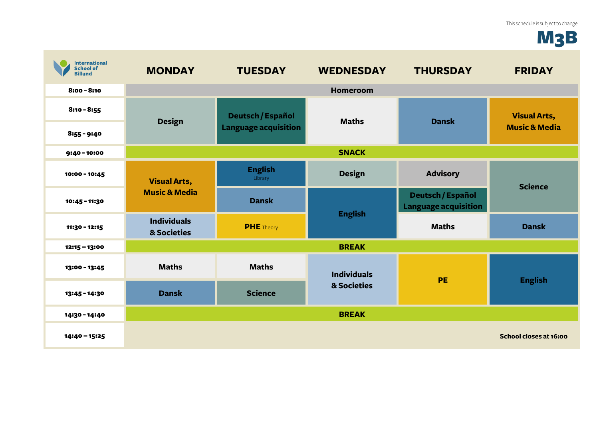## M<sub>3</sub>B

| <b>International</b><br><b>School of</b><br><b>Billund</b> | <b>MONDAY</b>                                   | <b>TUESDAY</b>                                   | <b>WEDNESDAY</b>                  | <b>THURSDAY</b>                                  | <b>FRIDAY</b>                                   |
|------------------------------------------------------------|-------------------------------------------------|--------------------------------------------------|-----------------------------------|--------------------------------------------------|-------------------------------------------------|
| $8:00 - 8:10$                                              |                                                 |                                                  | <b>Homeroom</b>                   |                                                  |                                                 |
| $8:10 - 8:55$                                              | <b>Design</b>                                   | Deutsch / Español<br><b>Language acquisition</b> | <b>Maths</b>                      | <b>Dansk</b>                                     | <b>Visual Arts,</b><br><b>Music &amp; Media</b> |
| $8:55 - 9:40$                                              |                                                 |                                                  |                                   |                                                  |                                                 |
| $9:40 - 10:00$                                             | <b>SNACK</b>                                    |                                                  |                                   |                                                  |                                                 |
| 10:00 - 10:45                                              | <b>Visual Arts,</b><br><b>Music &amp; Media</b> | <b>English</b><br>Library                        | <b>Design</b>                     | <b>Advisory</b>                                  | <b>Science</b>                                  |
| 10:45 - 11:30                                              |                                                 | <b>Dansk</b>                                     | <b>English</b>                    | Deutsch / Español<br><b>Language acquisition</b> |                                                 |
| 11:30 - 12:15                                              | <b>Individuals</b><br>& Societies               | <b>PHE</b> Theory                                |                                   | <b>Maths</b>                                     | <b>Dansk</b>                                    |
| 12:15 - 13:00                                              |                                                 |                                                  | <b>BREAK</b>                      |                                                  |                                                 |
| 13:00 - 13:45                                              | <b>Maths</b>                                    | <b>Maths</b>                                     | <b>Individuals</b><br>& Societies | PE                                               | <b>English</b>                                  |
| 13:45 - 14:30                                              | <b>Dansk</b>                                    | <b>Science</b>                                   |                                   |                                                  |                                                 |
| 14:30 - 14:40                                              |                                                 |                                                  | <b>BREAK</b>                      |                                                  |                                                 |
| 14:40 - 15:25                                              |                                                 |                                                  |                                   |                                                  | School closes at 16:00                          |